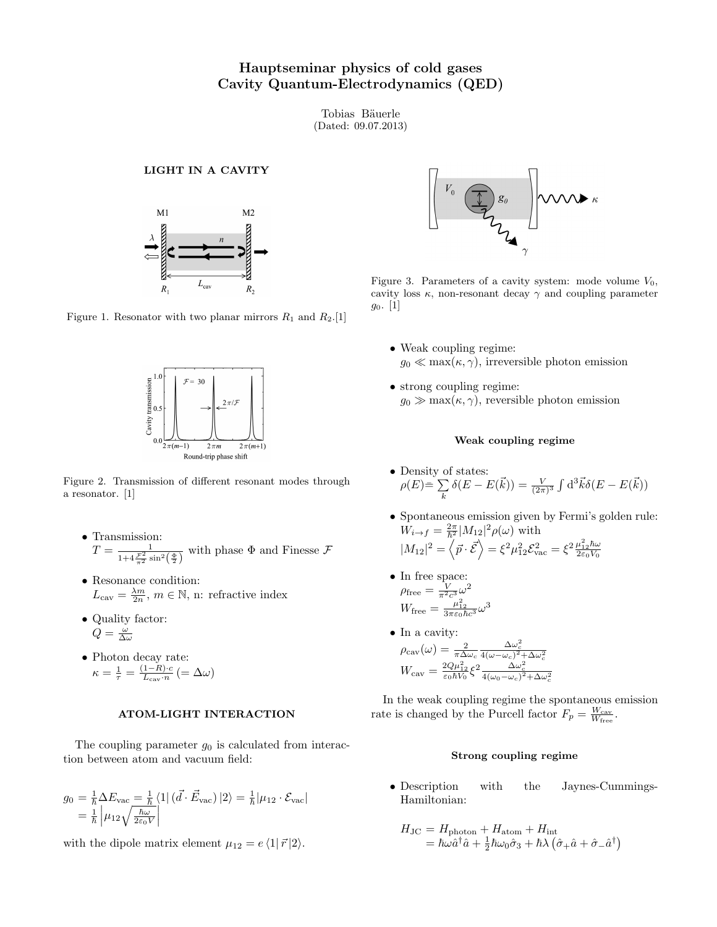# Hauptseminar physics of cold gases Cavity Quantum-Electrodynamics (QED)

Tobias Bäuerle (Dated: 09.07.2013)

#### LIGHT IN A CAVITY



Figure 1. Resonator with two planar mirrors  $R_1$  and  $R_2$ . [\[1\]](#page-1-0)



Figure 2. Transmission of different resonant modes through a resonator. [\[1\]](#page-1-0)

- Transmission:  $T = \frac{1}{1+4\frac{\mathcal{F}^2}{\pi^2} \sin^2(\frac{\Phi}{2})}$  with phase  $\Phi$  and Finesse  $\mathcal{F}$
- Resonance condition:  $L_{\text{cav}} = \frac{\lambda m}{2n}, m \in \mathbb{N}$ , n: refractive index
- Quality factor:  $Q = \frac{\omega}{\Delta \omega}$
- Photon decay rate:  $\kappa = \frac{1}{\tau} = \frac{(1-R)\cdot c}{L_{\rm cav}\cdot n}$  $\frac{1 - R \cdot c}{L_{\text{cav}} \cdot n}$   $( = \Delta \omega)$

## ATOM-LIGHT INTERACTION

The coupling parameter  $g_0$  is calculated from interaction between atom and vacuum field:

$$
g_0 = \frac{1}{\hbar} \Delta E_{\text{vac}} = \frac{1}{\hbar} \langle 1 | (\vec{d} \cdot \vec{E}_{\text{vac}}) | 2 \rangle = \frac{1}{\hbar} |\mu_{12} \cdot \mathcal{E}_{\text{vac}}|
$$
  
=  $\frac{1}{\hbar} |\mu_{12} \sqrt{\frac{\hbar \omega}{2\varepsilon_0 V}}|$ 

with the dipole matrix element  $\mu_{12} = e \langle 1| \vec{r} |2 \rangle$ .



Figure 3. Parameters of a cavity system: mode volume  $V_0$ , cavity loss  $\kappa$ , non-resonant decay  $\gamma$  and coupling parameter  $g_0$ . [\[1\]](#page-1-0)

- Weak coupling regime:  $g_0 \ll \max(\kappa, \gamma)$ , irreversible photon emission
- strong coupling regime:  $g_0 \gg \max(\kappa, \gamma)$ , reversible photon emission

#### Weak coupling regime

- Density of states:  $\rho(E)$  $\equiv\sum$ k  $\delta(E - E(\vec{k})) = \frac{V}{(2\pi)^3} \int d^3\vec{k} \delta(E - E(\vec{k}))$
- Spontaneous emission given by Fermi's golden rule:  $W_{i\rightarrow f} = \frac{2\pi}{\hbar^2} |M_{12}|^2 \rho(\omega)$  with  $|M_{12}|^2 = \langle \vec{p} \cdot \vec{\mathcal{E}} \rangle = \xi^2 \mu_{12}^2 \mathcal{E}_{\rm vac}^2 = \xi^2 \frac{\mu_{12}^2 \hbar \omega}{2 \varepsilon_0 V_0}$
- In free space:  $\rho_{\text{free}} = \frac{V}{\pi^2 c^3} \omega^2$  $W_{\text{free}} = \frac{\mu_{12}^2}{3\pi\varepsilon_0\hbar c^3}\omega^3$
- In a cavity:  $\rho_{\rm cav}(\omega) = \frac{2}{\pi \Delta \omega_c}$  $\frac{\Delta\omega_c^2}{4(\omega-\omega_c)^2+\Delta\omega_c^2}$  $W_{\rm cav} = \frac{2Q\mu_{12}^2}{\varepsilon_0 \hbar V_0} \xi^2 \frac{\Delta \omega_c^2}{4(\omega_0 - \omega_c)^2 + \Delta \omega_c^2}$

In the weak coupling regime the spontaneous emission rate is changed by the Purcell factor  $F_p = \frac{W_{\text{cav}}}{W_{\text{free}}}$ .

#### Strong coupling regime

• Description with the Jaynes-Cummings-Hamiltonian:

$$
H_{\rm JC} = H_{\rm photon} + H_{\rm atom} + H_{\rm int}
$$
  
=  $\hbar \omega \hat{a}^\dagger \hat{a} + \frac{1}{2} \hbar \omega_0 \hat{\sigma}_3 + \hbar \lambda \left( \hat{\sigma}_+ \hat{a} + \hat{\sigma}_- \hat{a}^\dagger \right)$